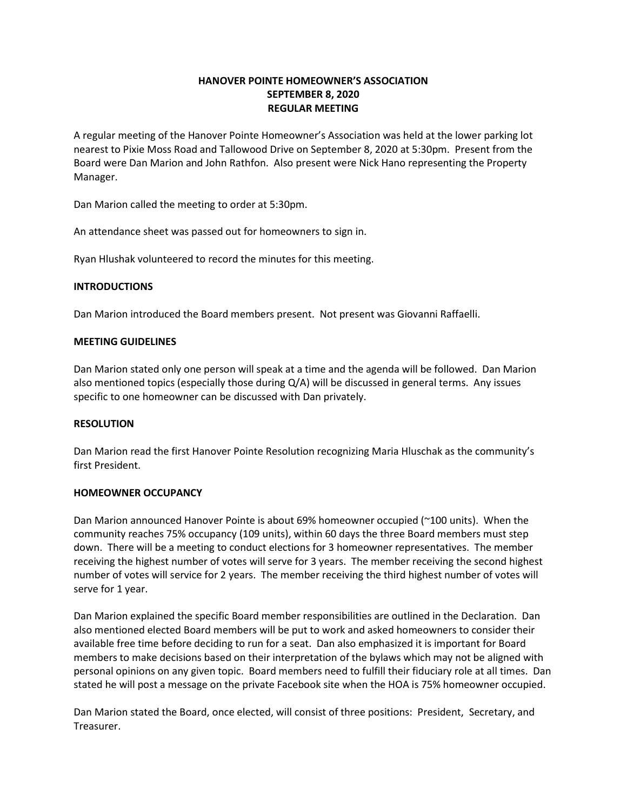# HANOVER POINTE HOMEOWNER'S ASSOCIATION SEPTEMBER 8, 2020 REGULAR MEETING

A regular meeting of the Hanover Pointe Homeowner's Association was held at the lower parking lot nearest to Pixie Moss Road and Tallowood Drive on September 8, 2020 at 5:30pm. Present from the Board were Dan Marion and John Rathfon. Also present were Nick Hano representing the Property Manager.

Dan Marion called the meeting to order at 5:30pm.

An attendance sheet was passed out for homeowners to sign in.

Ryan Hlushak volunteered to record the minutes for this meeting.

### **INTRODUCTIONS**

Dan Marion introduced the Board members present. Not present was Giovanni Raffaelli.

### MEETING GUIDELINES

Dan Marion stated only one person will speak at a time and the agenda will be followed. Dan Marion also mentioned topics (especially those during Q/A) will be discussed in general terms. Any issues specific to one homeowner can be discussed with Dan privately.

### RESOLUTION

Dan Marion read the first Hanover Pointe Resolution recognizing Maria Hluschak as the community's first President.

### HOMEOWNER OCCUPANCY

Dan Marion announced Hanover Pointe is about 69% homeowner occupied (~100 units). When the community reaches 75% occupancy (109 units), within 60 days the three Board members must step down. There will be a meeting to conduct elections for 3 homeowner representatives. The member receiving the highest number of votes will serve for 3 years. The member receiving the second highest number of votes will service for 2 years. The member receiving the third highest number of votes will serve for 1 year.

Dan Marion explained the specific Board member responsibilities are outlined in the Declaration. Dan also mentioned elected Board members will be put to work and asked homeowners to consider their available free time before deciding to run for a seat. Dan also emphasized it is important for Board members to make decisions based on their interpretation of the bylaws which may not be aligned with personal opinions on any given topic. Board members need to fulfill their fiduciary role at all times. Dan stated he will post a message on the private Facebook site when the HOA is 75% homeowner occupied.

Dan Marion stated the Board, once elected, will consist of three positions: President, Secretary, and Treasurer.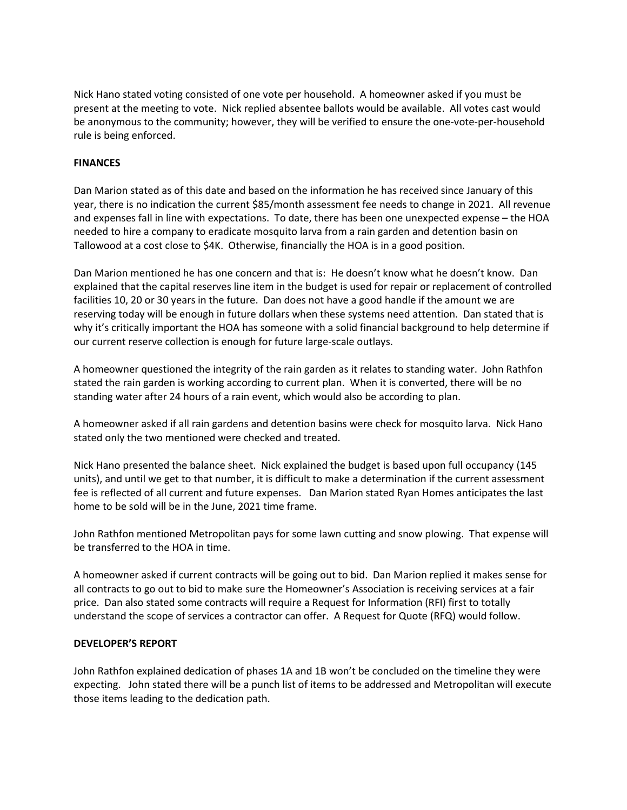Nick Hano stated voting consisted of one vote per household. A homeowner asked if you must be present at the meeting to vote. Nick replied absentee ballots would be available. All votes cast would be anonymous to the community; however, they will be verified to ensure the one-vote-per-household rule is being enforced.

## FINANCES

Dan Marion stated as of this date and based on the information he has received since January of this year, there is no indication the current \$85/month assessment fee needs to change in 2021. All revenue and expenses fall in line with expectations. To date, there has been one unexpected expense – the HOA needed to hire a company to eradicate mosquito larva from a rain garden and detention basin on Tallowood at a cost close to \$4K. Otherwise, financially the HOA is in a good position.

Dan Marion mentioned he has one concern and that is: He doesn't know what he doesn't know. Dan explained that the capital reserves line item in the budget is used for repair or replacement of controlled facilities 10, 20 or 30 years in the future. Dan does not have a good handle if the amount we are reserving today will be enough in future dollars when these systems need attention. Dan stated that is why it's critically important the HOA has someone with a solid financial background to help determine if our current reserve collection is enough for future large-scale outlays.

A homeowner questioned the integrity of the rain garden as it relates to standing water. John Rathfon stated the rain garden is working according to current plan. When it is converted, there will be no standing water after 24 hours of a rain event, which would also be according to plan.

A homeowner asked if all rain gardens and detention basins were check for mosquito larva. Nick Hano stated only the two mentioned were checked and treated.

Nick Hano presented the balance sheet. Nick explained the budget is based upon full occupancy (145 units), and until we get to that number, it is difficult to make a determination if the current assessment fee is reflected of all current and future expenses. Dan Marion stated Ryan Homes anticipates the last home to be sold will be in the June, 2021 time frame.

John Rathfon mentioned Metropolitan pays for some lawn cutting and snow plowing. That expense will be transferred to the HOA in time.

A homeowner asked if current contracts will be going out to bid. Dan Marion replied it makes sense for all contracts to go out to bid to make sure the Homeowner's Association is receiving services at a fair price. Dan also stated some contracts will require a Request for Information (RFI) first to totally understand the scope of services a contractor can offer. A Request for Quote (RFQ) would follow.

## DEVELOPER'S REPORT

John Rathfon explained dedication of phases 1A and 1B won't be concluded on the timeline they were expecting. John stated there will be a punch list of items to be addressed and Metropolitan will execute those items leading to the dedication path.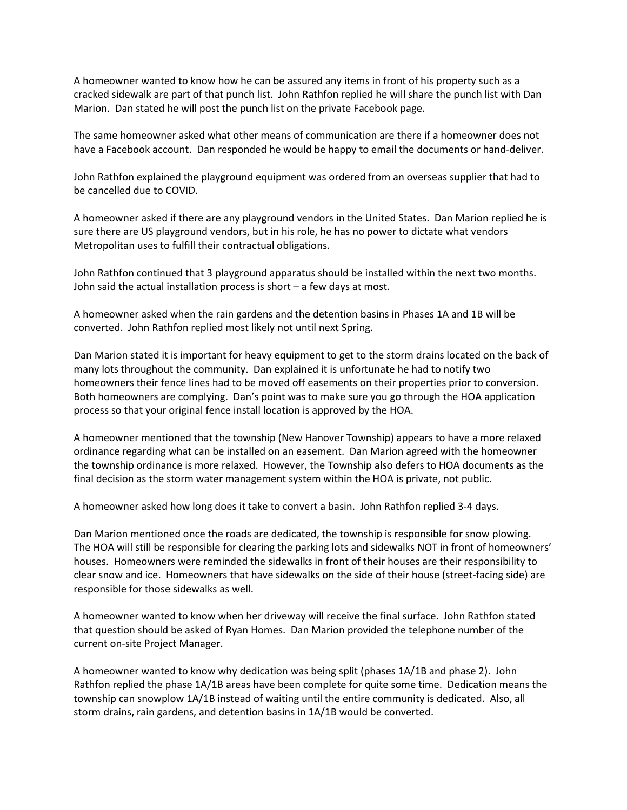A homeowner wanted to know how he can be assured any items in front of his property such as a cracked sidewalk are part of that punch list. John Rathfon replied he will share the punch list with Dan Marion. Dan stated he will post the punch list on the private Facebook page.

The same homeowner asked what other means of communication are there if a homeowner does not have a Facebook account. Dan responded he would be happy to email the documents or hand-deliver.

John Rathfon explained the playground equipment was ordered from an overseas supplier that had to be cancelled due to COVID.

A homeowner asked if there are any playground vendors in the United States. Dan Marion replied he is sure there are US playground vendors, but in his role, he has no power to dictate what vendors Metropolitan uses to fulfill their contractual obligations.

John Rathfon continued that 3 playground apparatus should be installed within the next two months. John said the actual installation process is short – a few days at most.

A homeowner asked when the rain gardens and the detention basins in Phases 1A and 1B will be converted. John Rathfon replied most likely not until next Spring.

Dan Marion stated it is important for heavy equipment to get to the storm drains located on the back of many lots throughout the community. Dan explained it is unfortunate he had to notify two homeowners their fence lines had to be moved off easements on their properties prior to conversion. Both homeowners are complying. Dan's point was to make sure you go through the HOA application process so that your original fence install location is approved by the HOA.

A homeowner mentioned that the township (New Hanover Township) appears to have a more relaxed ordinance regarding what can be installed on an easement. Dan Marion agreed with the homeowner the township ordinance is more relaxed. However, the Township also defers to HOA documents as the final decision as the storm water management system within the HOA is private, not public.

A homeowner asked how long does it take to convert a basin. John Rathfon replied 3-4 days.

Dan Marion mentioned once the roads are dedicated, the township is responsible for snow plowing. The HOA will still be responsible for clearing the parking lots and sidewalks NOT in front of homeowners' houses. Homeowners were reminded the sidewalks in front of their houses are their responsibility to clear snow and ice. Homeowners that have sidewalks on the side of their house (street-facing side) are responsible for those sidewalks as well.

A homeowner wanted to know when her driveway will receive the final surface. John Rathfon stated that question should be asked of Ryan Homes. Dan Marion provided the telephone number of the current on-site Project Manager.

A homeowner wanted to know why dedication was being split (phases 1A/1B and phase 2). John Rathfon replied the phase 1A/1B areas have been complete for quite some time. Dedication means the township can snowplow 1A/1B instead of waiting until the entire community is dedicated. Also, all storm drains, rain gardens, and detention basins in 1A/1B would be converted.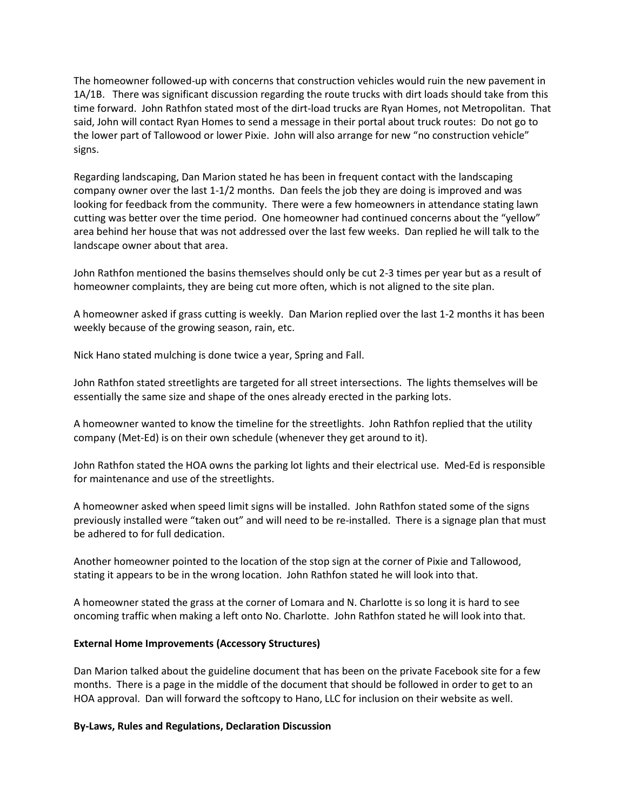The homeowner followed-up with concerns that construction vehicles would ruin the new pavement in 1A/1B. There was significant discussion regarding the route trucks with dirt loads should take from this time forward. John Rathfon stated most of the dirt-load trucks are Ryan Homes, not Metropolitan. That said, John will contact Ryan Homes to send a message in their portal about truck routes: Do not go to the lower part of Tallowood or lower Pixie. John will also arrange for new "no construction vehicle" signs.

Regarding landscaping, Dan Marion stated he has been in frequent contact with the landscaping company owner over the last 1-1/2 months. Dan feels the job they are doing is improved and was looking for feedback from the community. There were a few homeowners in attendance stating lawn cutting was better over the time period. One homeowner had continued concerns about the "yellow" area behind her house that was not addressed over the last few weeks. Dan replied he will talk to the landscape owner about that area.

John Rathfon mentioned the basins themselves should only be cut 2-3 times per year but as a result of homeowner complaints, they are being cut more often, which is not aligned to the site plan.

A homeowner asked if grass cutting is weekly. Dan Marion replied over the last 1-2 months it has been weekly because of the growing season, rain, etc.

Nick Hano stated mulching is done twice a year, Spring and Fall.

John Rathfon stated streetlights are targeted for all street intersections. The lights themselves will be essentially the same size and shape of the ones already erected in the parking lots.

A homeowner wanted to know the timeline for the streetlights. John Rathfon replied that the utility company (Met-Ed) is on their own schedule (whenever they get around to it).

John Rathfon stated the HOA owns the parking lot lights and their electrical use. Med-Ed is responsible for maintenance and use of the streetlights.

A homeowner asked when speed limit signs will be installed. John Rathfon stated some of the signs previously installed were "taken out" and will need to be re-installed. There is a signage plan that must be adhered to for full dedication.

Another homeowner pointed to the location of the stop sign at the corner of Pixie and Tallowood, stating it appears to be in the wrong location. John Rathfon stated he will look into that.

A homeowner stated the grass at the corner of Lomara and N. Charlotte is so long it is hard to see oncoming traffic when making a left onto No. Charlotte. John Rathfon stated he will look into that.

## External Home Improvements (Accessory Structures)

Dan Marion talked about the guideline document that has been on the private Facebook site for a few months. There is a page in the middle of the document that should be followed in order to get to an HOA approval. Dan will forward the softcopy to Hano, LLC for inclusion on their website as well.

### By-Laws, Rules and Regulations, Declaration Discussion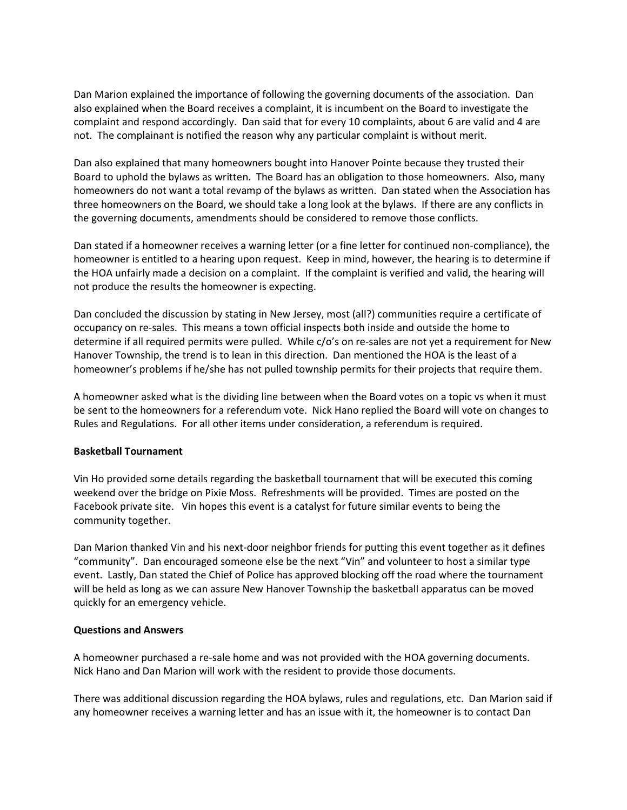Dan Marion explained the importance of following the governing documents of the association. Dan also explained when the Board receives a complaint, it is incumbent on the Board to investigate the complaint and respond accordingly. Dan said that for every 10 complaints, about 6 are valid and 4 are not. The complainant is notified the reason why any particular complaint is without merit.

Dan also explained that many homeowners bought into Hanover Pointe because they trusted their Board to uphold the bylaws as written. The Board has an obligation to those homeowners. Also, many homeowners do not want a total revamp of the bylaws as written. Dan stated when the Association has three homeowners on the Board, we should take a long look at the bylaws. If there are any conflicts in the governing documents, amendments should be considered to remove those conflicts.

Dan stated if a homeowner receives a warning letter (or a fine letter for continued non-compliance), the homeowner is entitled to a hearing upon request. Keep in mind, however, the hearing is to determine if the HOA unfairly made a decision on a complaint. If the complaint is verified and valid, the hearing will not produce the results the homeowner is expecting.

Dan concluded the discussion by stating in New Jersey, most (all?) communities require a certificate of occupancy on re-sales. This means a town official inspects both inside and outside the home to determine if all required permits were pulled. While c/o's on re-sales are not yet a requirement for New Hanover Township, the trend is to lean in this direction. Dan mentioned the HOA is the least of a homeowner's problems if he/she has not pulled township permits for their projects that require them.

A homeowner asked what is the dividing line between when the Board votes on a topic vs when it must be sent to the homeowners for a referendum vote. Nick Hano replied the Board will vote on changes to Rules and Regulations. For all other items under consideration, a referendum is required.

### Basketball Tournament

Vin Ho provided some details regarding the basketball tournament that will be executed this coming weekend over the bridge on Pixie Moss. Refreshments will be provided. Times are posted on the Facebook private site. Vin hopes this event is a catalyst for future similar events to being the community together.

Dan Marion thanked Vin and his next-door neighbor friends for putting this event together as it defines "community". Dan encouraged someone else be the next "Vin" and volunteer to host a similar type event. Lastly, Dan stated the Chief of Police has approved blocking off the road where the tournament will be held as long as we can assure New Hanover Township the basketball apparatus can be moved quickly for an emergency vehicle.

### Questions and Answers

A homeowner purchased a re-sale home and was not provided with the HOA governing documents. Nick Hano and Dan Marion will work with the resident to provide those documents.

There was additional discussion regarding the HOA bylaws, rules and regulations, etc. Dan Marion said if any homeowner receives a warning letter and has an issue with it, the homeowner is to contact Dan